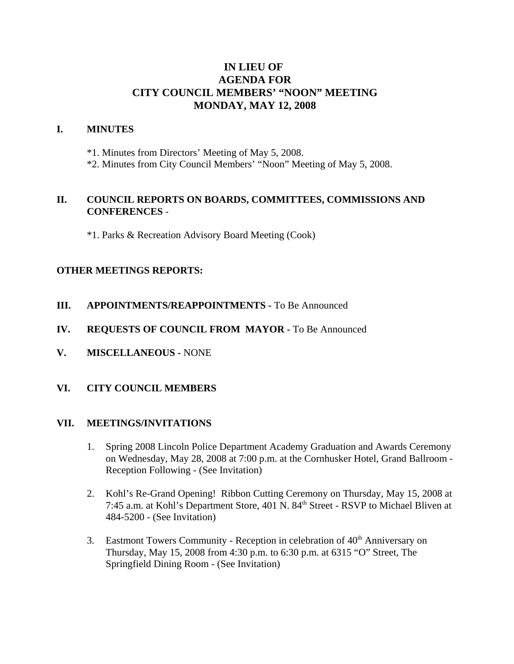# **IN LIEU OF AGENDA FOR CITY COUNCIL MEMBERS' "NOON" MEETING MONDAY, MAY 12, 2008**

### **I. MINUTES**

\*1. Minutes from Directors' Meeting of May 5, 2008.

\*2. Minutes from City Council Members' "Noon" Meeting of May 5, 2008.

## **II. COUNCIL REPORTS ON BOARDS, COMMITTEES, COMMISSIONS AND CONFERENCES** -

\*1. Parks & Recreation Advisory Board Meeting (Cook)

## **OTHER MEETINGS REPORTS:**

- **III.** APPOINTMENTS/REAPPOINTMENTS To Be Announced
- **IV. REQUESTS OF COUNCIL FROM MAYOR -** To Be Announced
- **V. MISCELLANEOUS -** NONE

#### **VI. CITY COUNCIL MEMBERS**

#### **VII. MEETINGS/INVITATIONS**

- 1. Spring 2008 Lincoln Police Department Academy Graduation and Awards Ceremony on Wednesday, May 28, 2008 at 7:00 p.m. at the Cornhusker Hotel, Grand Ballroom - Reception Following - (See Invitation)
- 2. Kohl's Re-Grand Opening! Ribbon Cutting Ceremony on Thursday, May 15, 2008 at 7:45 a.m. at Kohl's Department Store, 401 N. 84<sup>th</sup> Street - RSVP to Michael Bliven at 484-5200 - (See Invitation)
- 3. Eastmont Towers Community Reception in celebration of  $40<sup>th</sup>$  Anniversary on Thursday, May 15, 2008 from 4:30 p.m. to 6:30 p.m. at 6315 "O" Street, The Springfield Dining Room - (See Invitation)